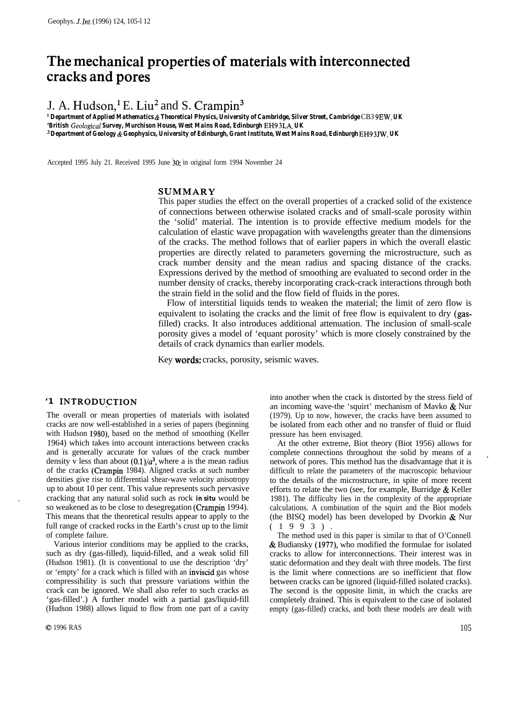# **The mechanical. properties of materials with interconnected cracks and pores**

J. A. Hudson,<sup>1</sup> E. Liu<sup>2</sup> and S. Crampin<sup>3</sup>

*1 Department of Applied Mathematics & Theoretical Physics, University of Cambridge, Silver Street, Cambridge* CB3 9EW, *UK 'British Geolog.zeal Survey, Murchison House, West Mains Road, Edinburgh* EH9 3LA, *UK*

*3 Department of Geology & Geophysics, University of Edinburgh, Grant Institute, West Mains Road, Edinburgh* EH9 3JW, *UK*

Accepted 1995 July 21. Received 1995 June 30; in original form 1994 November 24

## **SUMMARY**

This paper studies the effect on the overall properties of a cracked solid of the existence of connections between otherwise isolated cracks and of small-scale porosity within the 'solid' material. The intention is to provide effective medium models for the calculation of elastic wave propagation with wavelengths greater than the dimensions of the cracks. The method follows that of earlier papers in which the overall elastic properties are directly related to parameters governing the microstructure, such as crack number density and the mean radius and spacing distance of the cracks. Expressions derived by the method of smoothing are evaluated to second order in the number density of cracks, thereby incorporating crack-crack interactions through both the strain field in the solid and the flow field of fluids in the pores.

Flow of interstitial liquids tends to weaken the material; the limit of zero flow is equivalent to isolating the cracks and the limit of free flow is equivalent to dry (gasfilled) cracks. It also introduces additional attenuation. The inclusion of small-scale porosity gives a model of 'equant porosity' which is more closely constrained by the details of crack dynamics than earlier models.

Key **words:** cracks, porosity, seismic waves.

## '1 INTRODUCTION

The overall or mean properties of materials with isolated cracks are now well-established in a series of papers (beginning with Hudson 1980), based on the method of smoothing (Keller 1964) which takes into account interactions between cracks and is generally accurate for values of the crack number density v less than about  $(0.1)/a^3$ , where a is the mean radius of the cracks (Crampin 1984). Aligned cracks at such number densities give rise to differential shear-wave velocity anisotropy up to about 10 per cent. This value represents such pervasive cracking that any natural solid such as rock *in situ* would be so weakened as to be close to desegregation (Crampin 1994). This means that the theoretical results appear to apply to the full range of cracked rocks in the Earth's crust up to the limit of complete failure.

Various interior conditions may be applied to the cracks, such as dry (gas-filled), liquid-filled, and a weak solid fill (Hudson 1981). (It is conventional to use the description 'dry' or 'empty' for a crack which is filled with an inviscid gas whose compressibility is such that pressure variations within the crack can be ignored. We shall also refer to such cracks as 'gas-filled'.) A further model with a partial gas/liquid-fill (Hudson 1988) allows liquid to flow from one part of a cavity

,

into another when the crack is distorted by the stress field of an incoming wave-the 'squirt' mechanism of Mavko & Nur (1979). Up to now, however, the cracks have been assumed to be isolated from each other and no transfer of fluid or fluid pressure has been envisaged.

At the other extreme, Biot theory (Biot 1956) allows for complete connections throughout the solid by means of a network of pores. This method has the disadvantage that it is difficult to relate the parameters of the macroscopic behaviour to the details of the microstructure, in spite of more recent efforts to relate the two (see, for example, Burridge  $&$  Keller 1981). The difficulty lies in the complexity of the appropriate calculations. A combination of the squirt and the Biot models (the BISQ model) has been developed by Dvorkin & Nur  $(1993)$ 

The method used in this paper is similar to that of O'Connell & Budiansky (1977), who modified the formulae for isolated cracks to allow for interconnections. Their interest was in static deformation and they dealt with three models. The first is the limit where connections are so inefficient that flow between cracks can be ignored (liquid-filled isolated cracks). The second is the opposite limit, in which the cracks are completely drained. This is equivalent to the case of isolated empty (gas-filled) cracks, and both these models are dealt with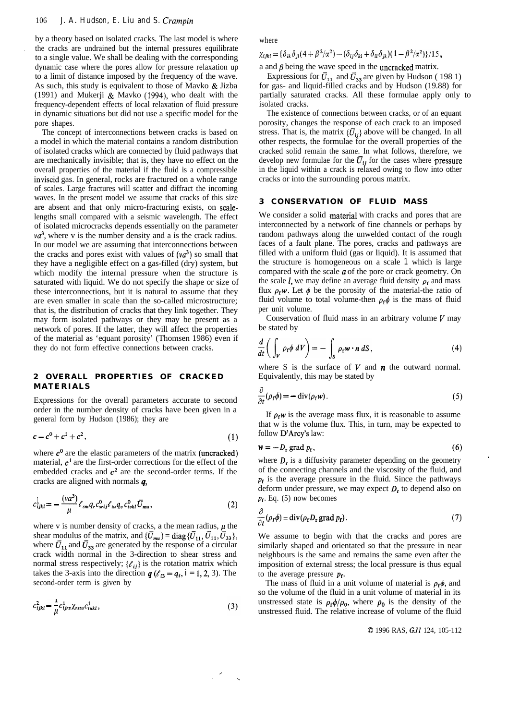by a theory based on isolated cracks. The last model is where . the cracks are undrained but the internal pressures equilibrate to a single value. We shall be dealing with the corresponding dynamic case where the pores allow for pressure relaxation up to a limit of distance imposed by the frequency of the wave. As such, this study is equivalent to those of Mavko & Jizba (1991) and Mukerji & Mavko (1994), who dealt with the frequency-dependent effects of local relaxation of fluid pressure in dynamic situations but did not use a specific model for the pore shapes.

The concept of interconnections between cracks is based on a model in which the material contains a random distribution of isolated cracks which are connected by fluid pathways that are mechanically invisible; that is, they have no effect on the overall properties of the material if the fluid is a compressible inviscid gas. In general, rocks are fractured on a whole range of scales. Large fractures will scatter and diffract the incoming waves. In the present model we assume that cracks of this size are absent and that only micro-fracturing exists, on scalelengths small compared with a seismic wavelength. The effect of isolated microcracks depends essentially on the parameter *va3,* where v is the number density and a is the crack radius. In our model we are assuming that interconnections between the cracks and pores exist with values of  $(va^3)$  so small that they have a negligible effect on a gas-filled (dry) system, but which modify the internal pressure when the structure is saturated with liquid. We do not specify the shape or size of these interconnections, but it is natural to assume that they are even smaller in scale than the so-called microstructure; that is, the distribution of cracks that they link together. They may form isolated pathways or they may be present as a network of pores. If the latter, they will affect the properties of the material as 'equant porosity' (Thomsen 1986) even if they do not form effective connections between cracks.

## **2 OVERALL PROPERTIES OF CRACKED MATERIALS**

Expressions for the overall parameters accurate to second order in the number density of cracks have been given in a general form by Hudson (1986); they are

 $c = c^0 + c^1 + c^2,$  (1)

where  $c^0$  are the elastic parameters of the matrix (uncracked) material,  $c<sup>1</sup>$  are the first-order corrections for the effect of the embedded cracks and  $c<sup>2</sup>$  are the second-order terms. If the cracks are aligned with normals q,

$$
c_{ijkl}^{\perp} = -\frac{(va^3)}{\mu} \ell_{sm} q_r c_{srij}^0 \ell_{tu} q_v c_{tvk}^0 \bar{U}_{mu}, \qquad (2)
$$

where v is number density of cracks, a the mean radius,  $\mu$  the shear modulus of the matrix, and  $\{\bar{U}_{mu}\} = \text{diag}\{\bar{U}_{11}, \bar{U}_{11}, \bar{U}_{33}\},$ where  $\bar{U}_{11}$  and  $\bar{U}_{33}$  are generated by the response of a circular crack width normal in the 3-direction to shear stress and normal stress respectively;  $\{\ell_{ij}\}\$ is the rotation matrix which takes the 3-axis into the direction  $q$  ( $\ell_{i3} = q_i$ ,  $i = 1, 2, 3$ ). The second-order term is given by

$$
c_{ijkl}^2 = \frac{1}{\mu} c_{ijrs}^1 \chi_{rstu} c_{tukl}^1,
$$
\n(3)

c ,

 $\overline{\phantom{a}}$ 

where

 $\chi_{ijkl} = {\delta_{ik} \delta_{il} (4 + \beta^2/a^2) - (\delta_{ij} \delta_{kl} + \delta_{il} \delta_{jk}) (1 - \beta^2/a^2)} / 15$ 

a and  $\beta$  being the wave speed in the uncracked matrix.

Expressions for  $\bar{U}_{11}$  and  $\bar{U}_{33}$  are given by Hudson ( 198 1) for gas- and liquid-filled cracks and by Hudson (19.88) for partially saturated cracks. All these formulae apply only to isolated cracks.

The existence of connections between cracks, or of an equant porosity, changes the response of each crack to an imposed stress. That is, the matrix  $\{\vec{U}_{ii}\}\$ above will be changed. In all other respects, the formulae for the overall properties of the cracked solid remain the same. In what follows, therefore, we develop new formulae for the  $\bar{U}_{ij}$  for the cases where pressure in the liquid within a crack is relaxed owing to flow into other cracks or into the surrounding porous matrix.

## **3 CONSERVATION OF FLUID MASS**

We consider a solid material with cracks and pores that are interconnected by a network of fine channels or perhaps by random pathways along the unwelded contact of the rough faces of a fault plane. The pores, cracks and pathways are filled with a uniform fluid (gas or liquid). It is assumed that the structure is homogeneous on a scale *1* which is large compared with the scale  $a$  of the pore or crack geometry. On the scale *l*, we may define an average fluid density  $\rho_f$  and mass flux  $\rho_f \mathbf{w}$ . Let  $\phi$  be the porosity of the material-the ratio of fluid volume to total volume-then  $\rho_f \phi$  is the mass of fluid per unit volume.

Conservation of fluid mass in an arbitrary volume  $V$  may be stated by

$$
\frac{d}{dt}\bigg(\int_{V} \rho_{\rm f} \phi \,dV\bigg) = -\int_{S} \rho_{\rm f} \mathbf{w} \cdot \mathbf{n} \,dS\,,\tag{4}
$$

where S is the surface of  $V$  and  $n$  the outward normal. Equivalently, this may be stated by

$$
\frac{\partial}{\partial t}(\rho_f \phi) = -\operatorname{div}(\rho_f w). \tag{5}
$$

If  $\rho_f w$  is the average mass flux, it is reasonable to assume that w is the volume flux. This, in turn, may be expected to follow D'Arcy's law:

$$
w = -D_{\rm r} \operatorname{grad} p_{\rm f}, \tag{6}
$$

where  $D<sub>r</sub>$  is a diffusivity parameter depending on the geometry of the connecting channels and the viscosity of the fluid, and  $p_f$  is the average pressure in the fluid. Since the pathways deform under pressure, we may expect  $D<sub>r</sub>$  to depend also on *pf.* Eq. (5) now becomes

$$
\frac{\partial}{\partial t}(\rho_f \phi) = \text{div}(\rho_f D_r \text{ grad } p_f).
$$
\n(7)

We assume to begin with that the cracks and pores are similarly shaped and orientated so that the pressure in near neighbours is the same and remains the same even after the imposition of external stress; the local pressure is thus equal to the average pressure  $p_f$ .

The mass of fluid in a unit volume of material is  $\rho_f \phi$ , and so the volume of the fluid in a unit volume of material in its unstressed state is  $\rho_f \phi / \rho_0$ , where  $\rho_0$  is the density of the unstressed fluid. The relative increase of volume of the fluid

© 1996 RAS, GJI 124, 105-112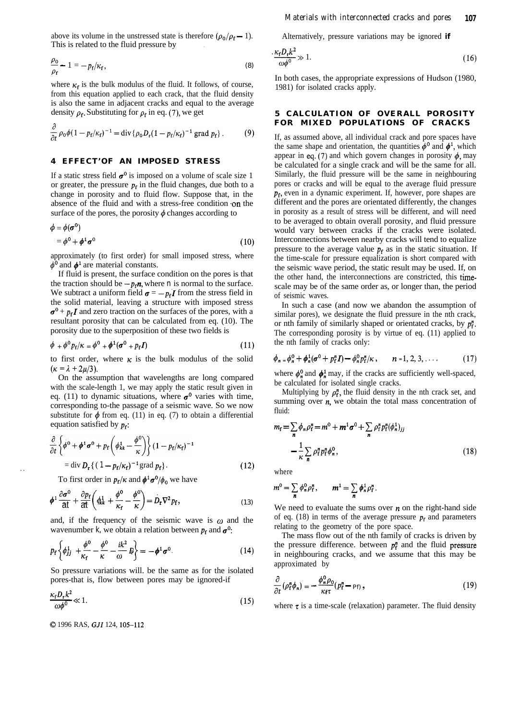above its volume in the unstressed state is therefore  $(\rho_0/\rho_f - 1)$ . This is related to the fluid pressure by

$$
\frac{\rho_0}{\rho_{\rm f}} - 1 = -p_{\rm f}/\kappa_{\rm f},\tag{8}
$$

where  $\kappa_f$  is the bulk modulus of the fluid. It follows, of course, from this equation applied to each crack, that the fluid density is also the same in adjacent cracks and equal to the average density  $\rho_f$ . Substituting for  $\rho_f$  in eq. (7), we get

$$
\frac{\partial}{\partial t} \rho_0 \phi (1 - p_f/\kappa_f)^{-1} = \operatorname{div} \{ \rho_0 D_r (1 - p_f/\kappa_f)^{-1} \operatorname{grad} p_f \} \,.
$$
 (9)

#### **4 EFFECT'OF AN IMPOSED STRESS**

If a static stress field  $\sigma^0$  is imposed on a volume of scale size 1 or greater, the pressure  $p_f$  in the fluid changes, due both to a change in porosity and to fluid flow. Suppose that, in the absence of the fluid and with a stress-free condition on the surface of the pores, the porosity  $\phi$  changes according to

$$
\phi = \phi(\boldsymbol{\sigma}^0) \n= \phi^0 + \boldsymbol{\phi}^1 \boldsymbol{\sigma}^0
$$
\n(10)

approximately (to first order) for small imposed stress, where  $\phi^0$  and  $\phi^1$  are material constants.

If fluid is present, the surface condition on the pores is that the traction should be  $-p_f n$ , where *n* is normal to the surface. We subtract a uniform field  $\sigma = -p_f I$  from the stress field in the solid material, leaving a structure with imposed stress  $\sigma^0$  +  $p_f I$  and zero traction on the surfaces of the pores, with a resultant porosity that can be calculated from eq. (10). The porosity due to the superposition of these two fields is

$$
\phi + \phi^0 p_f / \kappa = \phi^0 + \phi^1 (\sigma^0 + p_f I) \tag{11}
$$

to first order, where  $\kappa$  is the bulk modulus of the solid  $(\kappa = \lambda + 2\mu/3).$ 

On the assumption that wavelengths are long compared with the scale-length 1, we may apply the static result given in eq. (11) to dynamic situations, where  $\sigma^0$  varies with time, corresponding to-the passage of a seismic wave. So we now substitute for  $\phi$  from eq. (11) in eq. (7) to obtain a differential equation satisfied by *pf:*

$$
\frac{\partial}{\partial t} \left\{ \phi^0 + \phi^1 \sigma^0 + p_f \left( \phi_{kk}^1 - \frac{\phi^0}{\kappa} \right) \right\} (1 - p_f/\kappa_f)^{-1}
$$
  
= div  $D_r \left\{ (1 - p_f/\kappa_f)^{-1} \text{ grad } p_f \right\}.$  (12)

To first order in  $p_f/\kappa$  and  $\phi^1 \sigma^0/\phi_0$  we have

$$
\phi^1 \frac{\partial \sigma^0}{\partial t} + \frac{\partial p_f}{\partial t} \left( \phi^1_{kk} + \frac{\phi^0}{\kappa_f} - \frac{\phi^0}{\kappa} \right) = D_r \nabla^2 p_f, \qquad (13)
$$

and, if the frequency of the seismic wave is  $\omega$  and the wavenumber *k*, we obtain a relation between  $p_f$  and  $\sigma^0$ :

$$
p_{\rm f}\left\{\phi_{jj}^1+\frac{\phi^0}{\kappa_{\rm f}}-\frac{\phi^0}{\kappa}-\frac{ik^2}{\omega}I\right\}=-\phi^1\sigma^0.
$$
 (14)

So pressure variations will. be the same as for the isolated pores-that is, flow between pores may be ignored-if

So pressure variations will, be the same as for the isolated  
poses that is, flow between pores may be ignored-if  

$$
\frac{\kappa_f D_r k^2}{\omega \phi^0} \ll 1.
$$
 (15)

0 1996 RAS, GJI 124, 105-112

*. .*

Alternatively, pressure variations may be ignored **if**

| Materials with interconnected cracks and pores  | 107                                                  |
|-------------------------------------------------|------------------------------------------------------|
| 1).                                             | Alternatively, pressure variations may be ignored if |
| $\frac{\kappa_f D_r k^2}{\omega \phi^0} \gg 1.$ | (16)                                                 |

In both cases, the appropriate expressions of Hudson (1980, 1981) for isolated cracks apply.

## **5 CALCULATION OF OVERALL POROSITY FOR MIXED POPULATIONS OF CRACKS**

<sup>(1)</sup> If, as assumed above, all individual crack and pore spaces have the same shape and orientation, the quantities  $\phi^0$  and  $\phi^1$ , which appear in eq. (7) and which govern changes in porosity  $\phi$ , may be calculated for a single crack and will be the same for all. Similarly, the fluid pressure will be the same in neighbouring pores or cracks and will be equal to the average fluid pressure  $p_f$ , even in a dynamic experiment. If, however, pore shapes are different and the pores are orientated differently, the changes in porosity as a result of stress will be different, and will need to be averaged to obtain overall porosity, and fluid pressure would vary between cracks if the cracks were isolated. Interconnections between nearby cracks will tend to equalize pressure to the average value  $p_f$  as in the static situation. If the time-scale for pressure equalization is short compared with the seismic wave period, the static result may be used. If, on the other hand, the interconnections are constricted, this timescale may be of the same order as, or longer than, the period of seismic waves.

In such a case (and now we abandon the assumption of similar pores), we designate the fluid pressure in the nth crack. or nth family of similarly shaped or orientated cracks, by *p;.* The corresponding porosity is by virtue of eq. (11) applied to the nth family of cracks only:

$$
\phi_n = \phi_n^0 + \phi_n^1(\sigma^0 + p_f^n I) - \phi_n^0 p_f^n / \kappa, \qquad n = 1, 2, 3, \dots
$$
 (17)

where  $\phi_n^0$  and  $\phi_n^1$  may, if the cracks are sufficiently well-spaced, be calculated for isolated single cracks.

Multiplying by  $\rho_f^n$ , the fluid density in the nth crack set, and summing over  $n$ , we obtain the total mass concentration of fluid:

$$
m_{\rm f} = \sum_{n} \phi_n \rho_{\rm f}^n = m^0 + m^1 \sigma^0 + \sum_{n} \rho_{\rm f}^n p_{\rm f}^n (\phi_n^1)_{jj}
$$

$$
- \frac{1}{\kappa} \sum_{n} \rho_{\rm f}^n p_{\rm f}^n \phi_n^0, \tag{18}
$$

where

$$
m^0 = \sum_n \phi_n^0 \rho_f^n, \qquad m^1 = \sum_n \phi_n^1 \rho_f^n.
$$

We need to evaluate the sums over  $n$  on the right-hand side of eq. (18) in terms of the average pressure  $p_f$  and parameters relating to the geometry of the pore space.

The mass flow out of the nth family of cracks is driven by the pressure difference. between  $p_f^n$  and the fluid pressure in neighbouring cracks, and we assume that this may be approximated by

$$
\frac{\partial}{\partial t} \left( \rho_f^n \phi_n \right) = -\frac{\phi_n^0 \rho_0}{\kappa_f \tau} (p_f^n - p_f) \,, \tag{19}
$$

where  $\tau$  is a time-scale (relaxation) parameter. The fluid density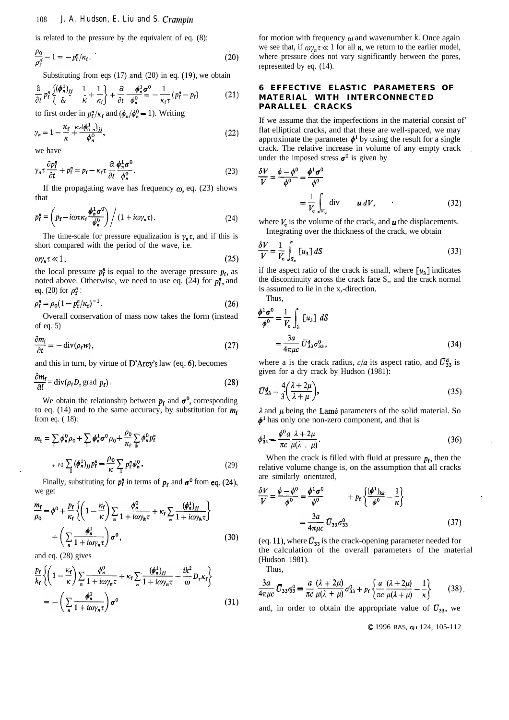is related to the pressure by the equivalent of eq. (8):

$$
\frac{\rho_0}{\rho_{\rm f}^n} - 1 = -p_{\rm f}^n / \kappa_{\rm f}.
$$
\n(20)

Substituting from eqs  $(17)$  and  $(20)$  in eq.  $(19)$ , we obtain

$$
\frac{\partial}{\partial t} p_i^{\mathsf{n}} \left\{ \frac{(\phi_n^1)_{ij}}{\mathcal{E}} \quad \frac{1}{\kappa} + \frac{1}{\kappa_{\mathsf{f}}} \right\} + \frac{\partial}{\partial t} \frac{\phi_n^1 \sigma^0}{\phi_n^0} = -\frac{1}{\kappa_{\mathsf{f}} \tau} (p_i^{\mathsf{n}} - p_{\mathsf{f}}) \tag{21}
$$

to first order in  $p_f^n / \kappa_f$  and  $(\phi_n / \phi_n^0 - 1)$ . Writing

$$
\gamma_n = 1 - \frac{\kappa_f}{\kappa} + \frac{\kappa_c (\phi_{\gamma_n})_{jj}}{\phi_n^0},\tag{22}
$$

we have

$$
\gamma_n \tau \frac{\partial p_f^n}{\partial t} + p_f^n = p_f - \kappa_f \tau \frac{\partial}{\partial t} \frac{\phi_n^1 \sigma^0}{\phi_n^0}.
$$
 (23)

If the propagating wave has frequency  $\omega$ , eq. (23) shows that

that  

$$
p_f^n = \left( p_f - i\omega \tau \kappa_f \frac{\phi_n^1 \sigma^0}{\phi_n^0} \right) / (1 + i\omega \gamma_n \tau).
$$
 (24)

The time-scale for pressure equalization is  $\gamma_n \tau$ , and if this is short compared with the period of the wave, i.e.

$$
\omega \gamma_n \tau \ll 1, \tag{25}
$$

the local pressure  $p_f^n$  is equal to the average pressure  $p_f$ , as noted above. Otherwise, we need to use eq.  $(24)$  for  $p_f^n$ , and eq. (20) for  $\rho_{\epsilon}^{n}$ :

$$
\rho_{\rm f}^n = \rho_0 (1 - p_{\rm f}^n / \kappa_{\rm f})^{-1} \,. \tag{26}
$$

Overall conservation of mass now takes the form (instead of eq. 5)

$$
\frac{\partial m_{\rm f}}{\partial t} = -\operatorname{div}(\rho_{\rm f} \mathbf{w}),\tag{27}
$$

and this in turn, by virtue of **D'Arcy's** law (eq. 6), becomes  
\n
$$
\frac{\partial m_{\rm f}}{\partial l} = \text{div}(\rho_{\rm f} D_{\rm r} \text{ grad } p_{\rm f}).
$$
\n(28)

We obtain the relationship between  $p_f$  and  $\sigma^0$ , corresponding to eq. (14) and to the same accuracy, by substitution for  $m_f$ from eq. ( 18):

$$
m_{\mathbf{f}} = \sum_{\parallel} \phi_n^0 \rho_0 + \sum_{\parallel} \phi_n^1 \sigma^0 \rho_0 + \frac{\rho_0}{\kappa_{\mathbf{f}}} \sum_{\mathbf{h}} \phi_n^0 p_{\mathbf{f}}^n
$$

$$
+ \rho_0 \sum_{\parallel} (\phi_n^1)_{jj} p_{\mathbf{f}}^n - \frac{\rho_0}{\kappa} \sum_{\parallel} p_{\mathbf{f}}^n \phi_n^0. \tag{29}
$$

Finally, substituting for  $p_f^n$  in terms of  $p_f$  and  $\sigma^0$  from eq. (24), we get

$$
\frac{m_{\rm f}}{\rho_0} = \phi^0 + \frac{p_{\rm f}}{\kappa_{\rm f}} \left\{ \left( 1 - \frac{\kappa_{\rm f}}{\kappa} \right) \sum_n \frac{\phi_n^0}{1 + i \omega \gamma_n \tau} + \kappa_{\rm f} \sum_n \frac{(\phi_n^1)_{jj}}{1 + i \omega \gamma_n \tau} \right\} + \left( \sum_n \frac{\phi_n^1}{1 + i \omega \gamma_n \tau} \right) \sigma^0, \tag{30}
$$

and eq. (28) gives

.

$$
\frac{p_{\rm f}}{k_{\rm f}} \left\{ \left( 1 - \frac{\kappa_{\rm f}}{\kappa} \right) \sum_{n} \frac{\phi_{n}^0}{1 + i\omega \gamma_{n}\tau} + \kappa_{\rm f} \sum_{n} \frac{(\phi_{n}^1)_{jj}}{1 + i\omega \gamma_{n}\tau} - \frac{ik^2}{\omega} D_{\rm r} \kappa_{\rm f} \right\}
$$
\n
$$
= - \left( \sum_{n} \frac{\phi_{n}^1}{1 + i\omega \gamma_{n}\tau} \right) \sigma^0 \tag{31}
$$

for motion with frequency  $\omega$  and wavenumber *k*. Once again we see that, if  $\omega_{\gamma_n} \tau \ll 1$  for all *n*, we return to the earlier model, where pressure does not vary significantly between the pores, represented by eq. (14).

## **6 EFFECTIVE ELASTIC PARAMETERS OF MATERIAL WITH INTERCONNECTED PARALLEL CRACKS**

If we assume that the imperfections in the material consist of' flat elliptical cracks, and that these are well-spaced, we may approximate the parameter  $\phi^1$  by using the result for a single crack. The relative increase in volume of any empty crack .

under the imposed stress 
$$
\boldsymbol{\sigma}^0
$$
 is given by  
\n
$$
\frac{\delta V}{V} = \frac{\phi - \phi^0}{\phi^0} = \frac{\phi^1 \boldsymbol{\sigma}^0}{\phi^0} = \frac{1}{V_c} \int_{V_c} \text{div} \qquad \boldsymbol{u} \, dV,
$$
\n(32)

where  $V_c$  is the volume of the crack, and  $\boldsymbol{u}$  the displacements. Integrating over the thickness of the crack, we obtain

$$
\frac{\delta V}{V} = \frac{1}{V_c} \int_{S_c} [u_3] dS \tag{33}
$$

if the aspect ratio of the crack is small, where  $\lceil u_3 \rceil$  indicates the discontinuity across the crack face S,, and the crack normal is assumed to lie in the x,-direction.

Thus,  
\n
$$
\frac{\phi^1 \sigma^0}{\phi^0} = \frac{1}{V_c} \int_{\xi} [u_3] dS
$$
\n
$$
= \frac{3a}{4\pi \mu c} \overline{U}_{33}^d \sigma_{33}^0,
$$
\n(34)

where a is the crack radius,  $c/a$  its aspect ratio, and  $\bar{U}_{33}^d$  is given for a dry crack by Hudson (1981):

$$
\bar{U}_{33}^{\mathbf{d}} = \frac{4}{3} \left( \frac{\lambda + 2\mu}{\lambda + \mu} \right),\tag{35}
$$

 $\lambda$  and  $\mu$  being the Lamé parameters of the solid material. So

$$
\phi^1 \text{ has only one non-zero component, and that is}
$$
  

$$
\phi_{33}^1 = \frac{\phi^0 a}{\pi c} \frac{\lambda + 2\mu}{\mu(\lambda + \mu)}.
$$
 (36)

When the crack is filled with fluid at pressure  $p_f$ , then the relative volume change is, on the assumption that all cracks

are similarly oriented,  
\n
$$
\frac{\delta V}{V} = \frac{\phi - \phi^0}{\phi^0} = \frac{\phi^1 \sigma^0}{\phi^0} + p_f \left\{ \frac{(\phi^1)_{kk}}{\phi^0} - \frac{1}{\kappa} \right\}
$$
\n
$$
= \frac{3a}{4\pi \mu c} \overline{U}_{33} \sigma_{33}^0
$$
\n(37)

(eq. 11), where  $\bar{U}_{33}$  is the crack-opening parameter needed for the calculation of the overall parameters of the material (Hudson 1981).

Thus,

$$
\frac{3a}{4\pi\mu c}\,\overline{U}_{33}\,\overline{q}_3^0 = \frac{a}{\pi c}\,\frac{(\lambda + 2\mu)}{\mu(\lambda + \mu)}\,\sigma_{33}^0 + p_f\,\bigg\{\frac{a}{\pi c}\,\frac{(\lambda + 2\mu)}{\mu(\lambda + \mu)} - \frac{1}{\kappa}\bigg\}\qquad(38)
$$

and, in order to obtain the appropriate value of  $\bar{U}_{33}$ , we

0 1996 RAS, *GJI* 124, 105-112

.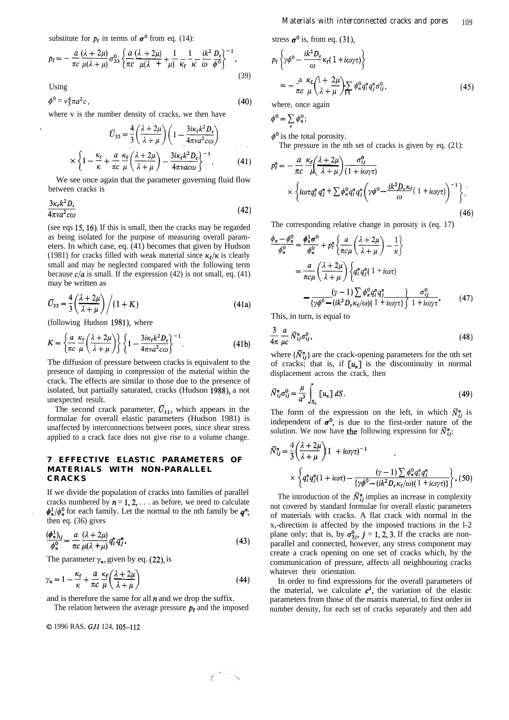substitute for  $p_f$  in terms of  $\sigma^0$  from eq. (14):

substitute for 
$$
p_f
$$
 in terms of  $\sigma^0$  from eq. (14):  
\n
$$
p_f = -\frac{a}{\pi c} \frac{(\lambda + 2\mu)}{\mu(\lambda + \mu)} \sigma_{33}^0 \left\{ \frac{a}{\pi c} \frac{(\lambda + 2\mu)}{\mu(\lambda + \mu)} + \frac{1}{\mu} \frac{1}{\kappa_f} \frac{1}{\kappa} - \frac{ik^2}{\omega} \frac{D_f}{\phi^0} \right\}^{-1}.
$$
\n(39)

Using

$$
\phi^0 = v^4_3 \pi a^2 c \,, \tag{40}
$$

where v is the number density of cracks, we then have

$$
\overline{U}_{33} = \frac{4}{3} \left( \frac{\lambda + 2\mu}{\lambda + \mu} \right) \left( 1 - \frac{3i\kappa_{\rm f} k^2 D_{\rm r}}{4\pi v a^2 c \omega} \right)
$$

$$
\times \left\{ 1 - \frac{\kappa_{\rm f}}{\kappa} + \frac{a}{\pi c} \frac{\kappa_{\rm f}}{\mu} \left( \frac{\lambda + 2\mu}{\lambda + \mu} \right) - \frac{3i\kappa_{\rm f} k^2 D_{\rm r}}{4\pi v a c \omega} \right\}^{-1} \tag{41}
$$

We see once again that the parameter governing fluid flow between cracks is

$$
\frac{3\kappa_{\rm f} k^2 D_{\rm r}}{4\pi v a^2 c \omega} \tag{42}
$$

(see eqs 15, 16). If this is small, then the cracks may be regarded as being isolated for the purpose of measuring overall parameters. In which case, eq. (41) becomes that given by Hudson (1981) for cracks filled with weak material since  $\kappa_f/\kappa$  is clearly small and may be neglected compared with the following term<br>because  $c/a$  is small. If the expression (42) is not small, eq. (41)<br>may be written as<br> $\overline{U}_{33} = \frac{4}{3} \left( \frac{\lambda + 2\mu}{\lambda + \mu} \right) / (1 + K)$  (41a) because  $c/a$  is small. If the expression (42) is not small, eq. (41) may be written as

$$
\overline{U}_{33} = \frac{4}{3} \left( \frac{\lambda + 2\mu}{\lambda + \mu} \right) / (1 + K) \tag{41a}
$$

(following Hudson 1981), where

$$
K = \left\{ \frac{a}{\pi c} \frac{\kappa_{\rm f}}{\mu} \left( \frac{\lambda + 2\mu}{\lambda + \mu} \right) \right\} \left\{ 1 - \frac{3i\kappa_{\rm f} k^2 D_{\rm r}}{4\pi v a^2 c \omega} \right\}^{-1}.
$$
 (41b)

The diffusion of pressure between cracks is equivalent to the presence of damping in compression of the material within the crack. The effects are similar to those due to the presence of isolated, but partially saturated, cracks (Hudson 1988), a not unexpected result.

The second crack parameter,  $\bar{U}_{11}$ , which appears in the formulae for overall elastic parameters (Hudson 1981) is unaffected by interconnections between pores, since shear stress applied to a crack face does not give rise to a volume change.

## **7 EFFECTIVE ELASTIC PARAMETERS OF MATERIALS WITH NON-PARALLEL CRACK S**

If we divide the population of cracks into families of parallel cracks numbered by  $n = 1, 2, \ldots$  as before, we need to calculate  $\phi_n^1/\phi_n^0$  for each family. Let the normal to the nth family be  $q^n$ ; then eq. (36) gives

$$
\frac{(\phi_n^1)_{ij}}{\phi_n^0} = \frac{a}{\pi c} \frac{(\lambda + 2\mu)}{\mu(\lambda + \mu)} q_i^n q_j^n.
$$
\n(43)

$$
\frac{(\phi_n^1)_{ij}}{\phi_n^0} = \frac{a}{\pi c} \frac{(\lambda + 2\mu)}{\mu(\lambda + \mu)} q_i^{\pi} q_j^{\pi}.
$$
\nThe parameter  $\gamma_n$ , given by eq. (22), is

\n
$$
\gamma_n = 1 - \frac{\kappa_f}{\kappa} + \frac{a}{\pi c} \frac{\kappa_f}{\mu} \left( \frac{\lambda + 2\mu}{\lambda + \mu} \right)
$$
\n(44)

and is therefore the same for all  $n$  and we drop the suffix.

The relation between the average pressure  $p_f$  and the imposed

0 1996 RAS, *GJI* 124, 105-112

stress  $\sigma^0$  is, from eq. (31),

stress 
$$
\sigma^0
$$
 is, from eq. (31),  
\n
$$
p_f \left\{ \gamma \phi^0 - \frac{ik^2 D_r}{\omega} \kappa_f (1 + i \omega \gamma \tau) \right\}
$$
\n
$$
= -\frac{a}{\pi c} \frac{\kappa_f}{\mu} \left( \frac{\lambda + 2\mu}{\lambda + \mu} \right) \sum_i \phi_n^0 q_i^n q_j^n \sigma_{ij}^0,
$$
\n(45)

where, once again

$$
\phi^0 = \sum_n \phi_n^0;
$$

 $\phi^0$  is the total porosity. The pressure in the nth set of cracks is given by eq. (21):

$$
\varphi^0 = \sum_n \varphi_n^2;
$$
  
\n
$$
\varphi^0
$$
 is the total porosity.  
\nThe pressure in the nth set of cracks is given by eq. (21):  
\n
$$
p_i^n = -\frac{a}{\pi c} \frac{\kappa_c}{\mu} \left( \frac{\lambda + 2\mu}{\lambda + \mu} \right) \frac{\sigma_{ij}^0}{(1 + i\omega \gamma \tau)}
$$
  
\n
$$
\times \left\{ i\omega \tau q_i^n q_j^n + \sum \phi_n^0 q_i^n q_j^n \left( \gamma \phi^0 - \frac{ik^2 D_r \kappa_f}{\omega} (1 + i\omega \gamma \tau) \right)^{-1} \right\}.
$$
\n(46)

The corresponding relative change in porosity is (eq. 17)

$$
\frac{\phi_n - \phi_n^0}{\phi_n^0} = \frac{\phi_n^1 \sigma^0}{\phi_n^0} + p_i^n \left\{ \frac{a}{\pi c \mu} \left( \frac{\lambda + 2\mu}{\lambda + \mu} \right) - \frac{1}{\kappa} \right\}
$$
\n
$$
= \frac{a}{\pi c \mu} \left( \frac{\lambda + 2\mu}{\lambda + \mu} \right) \left\{ q_i^n q_j^n (1 + i\omega \tau) - \frac{(\gamma - 1) \sum \phi_n^0 q_i^n q_j^n}{\left\{ \gamma \phi^0 - (ik^2 D_r \kappa_f/\omega) (1 + i\omega \gamma \tau) \right\} \left( 1 + i\omega \gamma \tau \right.} \right\} \tag{47}
$$

This, in turn, is equal to

$$
\frac{3}{4\pi} \frac{a}{\mu c} \bar{N}_{ij}^n \sigma_{ij}^0, \tag{48}
$$

where  $\{\bar{N}_{ij}^n\}$  are the crack-opening parameters for the nth set of cracks; that is, if  $[u_n]$  is the discontinuity in normal displacement across the crack, then

$$
\bar{N}_{ij}^n \sigma_{ij}^0 = \frac{\mu}{a^3} \int_{S_c} [u_n] dS. \tag{49}
$$

The form of the expression on the left, in which  $\bar{N}_{ij}^n$  is independent of  $\sigma^0$ , is due to the first-order nature of the

solution. We now have the following expression for 
$$
\overline{N}_{ij}^n
$$
:  
\n
$$
\overline{N}_{ij}^n = \frac{4}{3} \left( \frac{\lambda + 2\mu}{\lambda + \mu} \right) \left( 1 + i\omega \gamma \tau \right)^{-1}
$$
\n
$$
\times \left\{ q_i^n q_j^n (1 + i\omega \tau) - \frac{(\gamma - 1) \sum \phi_n^0 q_i^n q_j^n}{\{\gamma \phi^0 - (ik^2 D_r \kappa_f/\omega)(1 + i\omega \gamma \tau)\}} \right\}.
$$
\n(50)

The introduction of the  $\bar{N}_{ij}^n$  implies an increase in complexity not covered by standard formulae for overall elastic parameters of materials with cracks. A flat crack with normal in the x,-direction is affected by the imposed tractions in the l-2 plane only; that is, by  $\sigma_{3j}^0$ ,  $j = 1, 2, 3$ . If the cracks are nonparallel and connected, however, any stress component may create a crack opening on one set of cracks which, by the communication of pressure, affects all neighbouring cracks whatever their orientation.

In order to find expressions for the overall parameters of the material, we calculate  $c^1$ , the variation of the elastic parameters from those of the matrix material, to first order in number density, for each set of cracks separately and then add

$$
\mathcal{R}^{\mathcal{L}} \times \mathbb{R}
$$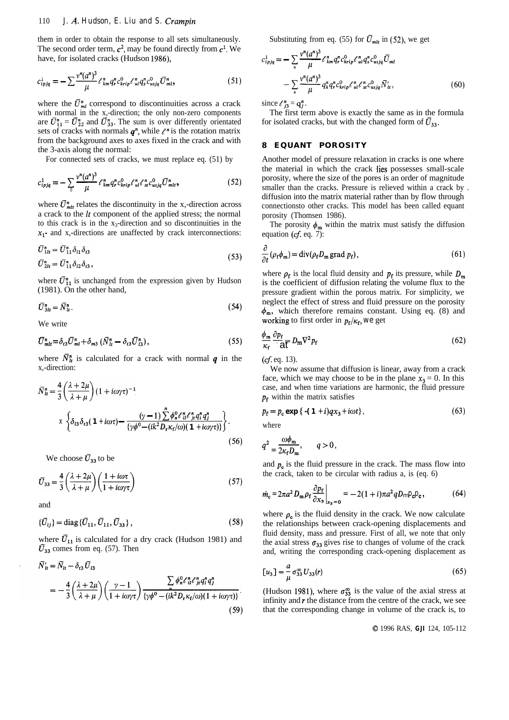## 110 *J. 4. Hudson, E. Liu and S. Crampin*

them in order to obtain the response to all sets simultaneously. The second order term,  $c^2$ , may be found directly from  $c^1$ . We

have, for isolated cracks (Hudson 1986), 
$$
c_{ipjq}^1 = -\sum_{n} \frac{v^n (a^n)^3}{\mu} \ell_{km}^n q_r^n c_{krip}^0 \ell_{ul}^n q_s^n c_{usjq}^0 \overline{U}_{ml}^n,
$$
 (51) 
$$
-\sum_{n} \frac{v^n (a^n)^3}{\mu} \ell_{im}^n q_s^n c_{krip}^0 \ell_{ul}^n q_s^n c_{usjq}^0 \overline{U}_{ml}^n,
$$

where the  $\bar{U}_{ml}^n$  correspond to discontinuities across a crack with normal in the x,-direction; the only non-zero components are  $\bar{U}_{11}^n = \bar{U}_{22}^n$  and  $\bar{U}_{33}^n$ . The sum is over differently orientated sets of cracks with normals  $q^n$ , while  $\ell^n$  is the rotation matrix the 3-axis along the normal:

For connected sets of cracks, we must replace eq. (51) by

from the background axes to axes fixed in the crack and with  
the 3-axis along the normal:  
For connected sets of cracks, we must replace eq. (51) by  

$$
c_{ipjq}^1 = -\sum_{n} \frac{v^n (a^n)^3}{\mu} \ell_{km}^n q_r^n c_{krip}^0 \ell_{ul}^n \ell_{st}^n c_{usjq}^0 \bar{U}_{ml}^n,
$$
 (52)

where  $\bar{U}_{mlt}^{n}$  relates the discontinuity in the x,-direction across a crack to the It component of the applied stress; the normal to this crack is in the  $x_3$ -direction and so discontinuities in the  $x_1$ - and x,-directions are unaffected by crack interconnections:

$$
\overline{U}_{1t}^{n} = \overline{U}_{11}^{n} \delta_{11} \delta_{t3}
$$
\n
$$
\overline{U}_{2t}^{n} = \overline{U}_{11}^{n} \delta_{12} \delta_{t3},
$$
\n(53)

where  $\bar{U}_{11}^{n}$  is unchanged from the expression given by Hudson (1981). On the other hand,

$$
\overline{U}_{3lt}^n = \overline{N}_{lt}^n. \tag{54}
$$

We write

$$
\overline{U}_{mlt}^{n} = \delta_{t3} \overline{U}_{ml}^{n} + \delta_{m3} \left( \overline{N}_{lt}^{n} - \delta_{t3} \overline{U}_{l3}^{n} \right), \tag{55}
$$

where  $\bar{N}_u^n$  is calculated for a crack with normal q in the x,-direction:

$$
\bar{N}_{\mu}^{n} = \frac{4}{3} \left( \frac{\lambda + 2\mu}{\lambda + \mu} \right) (1 + i\omega\gamma\tau)^{-1}
$$
\n
$$
X \left\{ \delta_{13} \delta_{t3} (1 + i\omega\tau) - \frac{(\gamma - 1) \sum_{i=1}^{n} \phi_{n}^{0} \ell_{i1}^{n} \ell_{j1}^{n} q_{i}^{n} q_{j}^{n}}{\{\gamma \phi^{0} - (ik^{2}D_{\tau} \kappa_{f}/\omega)(1 + i\omega\gamma\tau)\}} \right\}.
$$
\n(56)

$$
\overline{U}_{33} = \frac{4}{3} \left( \frac{\lambda + 2\mu}{\lambda + \mu} \right) \left( \frac{1 + i\omega\tau}{1 + i\omega\gamma\tau} \right) \tag{57}
$$

$$
\{\bar{U}_{ij}\} = \text{diag}\{\bar{U}_{11}, \bar{U}_{11}, \bar{U}_{33}\},\tag{58}
$$

where  $\bar{U}_{11}$  is calculated for a dry crack (Hudson 1981) and  $\bar{U}_{33}$  comes from eq. (57). Then

$$
N'_{lt} = N_{lt} - \delta_{t3} U_{t3}
$$
  
= 
$$
-\frac{4}{3} \left( \frac{\lambda + 2\mu}{\lambda + \mu} \right) \left( \frac{\gamma - 1}{1 + i\omega\gamma\tau} \right) \frac{\sum_{n} \phi_{n}^{0} \ell_{n}^{n} \ell_{n}^{n} q_{i}^{n} q_{j}^{n}}{\{\gamma \phi^{0} - (ik^{2} D_{r} \kappa_{f}/\omega)(1 + i\omega\gamma\tau)\}}.
$$
  
(59)

Substituting from eq. (55) for  $\bar{U}_{mlt}$  in (52), we get

Substituting from eq. (55) for 
$$
\bar{U}_{mlt}
$$
 in (52), we get  
\n
$$
c_{ipjq}^1 = -\sum_{n} \frac{v^n (a^n)^3}{\mu} \ell_{km}^n q_r^n c_{krip}^0 \ell_{ui}^n q_s^n c_{usjq}^0 \bar{U}_{ml}
$$
\n
$$
-\sum_{n} \frac{v^n (a^n)^3}{\mu} q_k^n q_r^n c_{krip}^0 \ell_{ui}^n \ell_{st}^n c_{usjq}^0 \bar{N}_{it}', \qquad (60)
$$

since  $\ell_{i3}^n = q_i^n$ .

The first term above is exactly the same as in the formula for isolated cracks, but with the changed form of  $\bar{U}_{33}$ .

# **8 EQUANT POROSITY**

Another model of pressure relaxation in cracks is one where the material in which the crack lies possesses small-scale porosity, where the size of the pores is an order of magnitude smaller than the cracks. Pressure is relieved within a crack by . diffusion into the matrix material rather than by flow through connectionsto other cracks. This model has been called equant porosity (Thomsen 1986).

The porosity  $\phi_m$  within the matrix must satisfy the diffusion equation ( $cf.$  eq. 7):

(61) 
$$
\frac{\partial}{\partial t} (\rho_f \phi_m) = \text{div} (\rho_f D_m \text{ grad } p_f),
$$

where  $\rho_f$  is the local fluid density and  $p_f$  its pressure, while  $D_m$ is the coefficient of diffusion relating the volume flux to the pressure gradient within the porous matrix. For simplicity, we neglect the effect of stress and fluid pressure on the porosity  $\phi_{\rm m}$ , which therefore remains constant. Using eq. (8) and working to first order in  $p_f/\kappa_f$ , we get

$$
\frac{\phi_{\mathbf{m}}}{\kappa_{\mathbf{f}}} \frac{\partial p_{\mathbf{f}}}{\partial \overline{\mathbf{t}}} D_{\mathbf{m}} \nabla^2 p_{\mathbf{f}} \tag{62}
$$

 $(cf. eq. 13)$ .

We now assume that diffusion is linear, away from a crack face, which we may choose to be in the plane  $x_3 = 0$ . In this case, and when time variations are harmonic, the fluid pressure *pf* within the matrix satisfies

$$
p_{\rm f} = p_{\rm c} \exp \{ -(1 + i) q x_3 + i \omega t \},\tag{63}
$$

where

$$
(56) \tq^2 = \frac{\omega \phi_m}{2\kappa_f D_m}, \tq > 0
$$

We choose  $\bar{U}_{33}$  to be and  $p_c$  is the fluid pressure in the crack. The mass flow into the crack, taken to be circular with radius a, is (eq. 6)

$$
\dot{m}_c = 2\pi a^2 D_m \rho_f \frac{\partial p_f}{\partial x_3}\Big|_{x_3=0} = -2(1+i)\pi a^2 q D_m p_c p_c, \qquad (64)
$$

where  $\rho_c$  is the fluid density in the crack. We now calculate the relationships between crack-opening displacements and fluid density, mass and pressure. First of all, we note that only the axial stress  $\sigma_{33}$  gives rise to changes of volume of the crack and, writing the corresponding crack-opening displacement as

$$
[u_3] = -\frac{a}{\mu} \sigma_{33}^{\infty} U_{33}(r) \tag{65}
$$

(Hudson 1981), where  $\sigma_{33}^{\infty}$  is the value of the axial stress at infinity and *r* the distance from the centre of the crack, we see that the corresponding change in volume of the crack is, to

0 1996 RAS, *GJI* 124, 105-112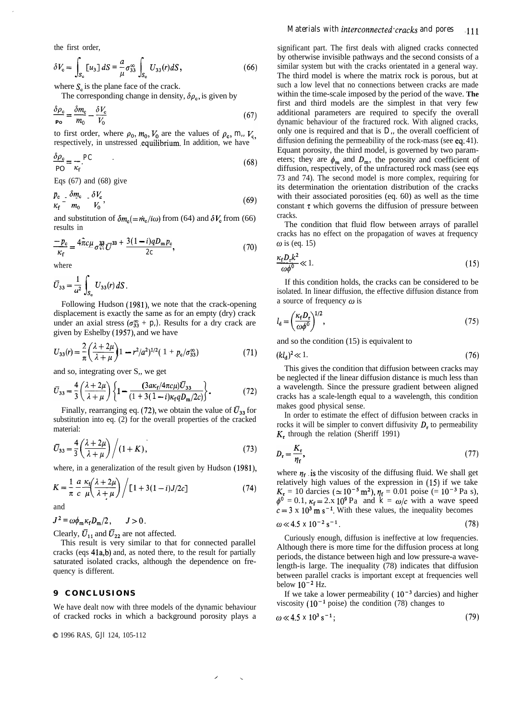the first order,

$$
\delta V_{\rm c} = \int_{S_{\rm c}} [u_3] \, dS = \frac{a}{\mu} \sigma_{33}^{\infty} \int_{S_{\rm c}} U_{33}(r) \, dS, \tag{66}
$$

where  $S_c$  is the plane face of the crack.

The corresponding change in density, 
$$
\delta \rho_c
$$
, is given by  
\n
$$
\frac{\delta \rho_c}{P_0} = \frac{\delta m_c}{m_0} - \frac{\delta V_c}{V_0}
$$
\n(67)

to first order, where  $\rho_0$ ,  $m_0$ ,  $V_0$  are the values of  $\rho_c$ ,  $m_i$ ,  $V_c$ , respectively, in unstressed .equilibrium. In addition, we have

$$
\frac{\delta \rho_{\rm c}}{\rho_{\rm O}} = \frac{PC}{\kappa_{\rm f}} \tag{68}
$$

Eqs  $(67)$  and  $(68)$  give

$$
\frac{p_c}{\kappa_f} - \frac{\delta m_c}{m_0} - \frac{\delta V_c}{V_0},\tag{69}
$$

and substitution of  $\delta m_c (= \dot{m}_c/i\omega)$  from (64) and  $\delta V_c$  from (66)

results in  
\n
$$
\frac{-p_c}{\kappa_f} = \frac{4\hat{\pi}c\mu}{\sigma_{xx}^{33}} \bar{U}^{33} + \frac{3(1-i)qD_m p_c}{2c},
$$
\n(70)

where

$$
\bar{U}_{33} = \frac{1}{a^2} \int_{S_c} U_{33}(r) dS.
$$

Following Hudson (1981), we note that the crack-opening displacement is exactly the same as for an empty (dry) crack under an axial stress  $(\sigma_{33}^{\infty} + p_i)$ . Results for a dry crack are given by Eshelby (1957), and we have

$$
U_{33}(r) = \frac{2}{\pi} \left( \frac{\lambda + 2\mu}{\lambda + \mu} \right) 1 - r^2/a^2 \left( \frac{1 + p_c}{\sigma_{33}^2} \right) \tag{71}
$$

and so, integrating over S,, we get

$$
\bar{U}_{33} = \frac{4}{3} \left( \frac{\lambda + 2\mu}{\lambda + \mu} \right) \left\{ 1 - \frac{(3a\kappa_f/4\pi c\mu)\bar{U}_{33}}{(1 + 3(1 - i)\kappa_f q D_m/2c)} \right\}.
$$
 (72)

Finally, rearranging eq. (72), we obtain the value of  $\bar{U}_{33}$  for substitution into eq. (2) for the overall properties of the cracked material:

$$
\overline{U}_{33} = \frac{4}{3} \left( \frac{\lambda + 2\mu}{\lambda + \mu} \right) / (1 + K), \tag{73}
$$

where, in a generalization of the result given by Hudson (1981),  
\n
$$
K = \frac{1}{\pi} \frac{a}{c} \frac{\kappa_i}{\mu} \left( \frac{\lambda + 2\mu}{\lambda + \mu} \right) / \left[ 1 + 3(1 - i)J/2c \right]
$$
\n(74)

and

 $J^2 = \omega \phi_m \kappa_f D_m/2$ ,  $J>0$ .

Clearly,  $\bar{U}_{11}$  and  $\bar{U}_{22}$  are not affected.

This result is very similar to that for connected parallel cracks (eqs 41a,b) and, as noted there, to the result for partially saturated isolated cracks, although the dependence on frequency is different.

## **9 CONCLUSION S**

We have dealt now with three models of the dynamic behaviour of cracked rocks in which a background porosity plays a

 $\lambda$ 

0 1996 RAS, *GJI* 124, 105-112

## *Materials with interconnected cracks and pores* 111

significant part. The first deals with aligned cracks connected by otherwise invisible pathways and the second consists of a similar system but with the cracks orientated in a general way. The third model is where the matrix rock is porous, but at such a low level that no connections between cracks are made within the time-scale imposed by the period of the wave. **The** first and third models are the simplest in that very few additional parameters are required to specify the overall dynamic behaviour of the fractured rock. With aligned cracks, only one is required and that is *D,,* the overall coefficient of diffusion defining the permeability of the rock-mass (see eq; 41). Equant porosity, the third model, is governed by two parameters; they are  $\phi_m$  and  $D_m$ , the porosity and coefficient of diffusion, respectively, of the unfractured rock mass (see eqs 73 and 74). The second model is more complex, requiring for its determination the orientation distribution of the cracks with their associated porosities (eq. 60) as well as the time constant  $\tau$  which governs the diffusion of pressure between cracks.

The condition that fluid flow between arrays of parallel cracks has no effect on the propagation of waves at frequency  $\omega$  is (eq. 15) cracks.<br>The<br>cracks<br> $\omega$  is (e<br> $\frac{\kappa_f D_r k^2}{\omega \phi^0}$ 

$$
\frac{\kappa_{\rm f} D_{\rm r} k^2}{\omega \phi^0} \ll 1. \tag{15}
$$

If this condition holds, the cracks can be considered to be isolated. In linear diffusion, the effective diffusion distance from a source of frequency  $\omega$  is

$$
l_{\mathbf{d}} = \left(\frac{\kappa_{\mathbf{f}} D_{\mathbf{r}}}{\omega \phi^0}\right)^{1/2},\tag{75}
$$

and so the condition (15) is equivalent to

$$
(kl_{\mathbf{d}})^2 \ll 1. \tag{76}
$$

This gives the condition that diffusion between cracks may be neglected if the linear diffusion distance is much less than a wavelength. Since the pressure gradient between aligned cracks has a scale-length equal to a wavelength, this condition makes good physical sense.

In order to estimate the effect of diffusion between cracks in rocks it will be simpler to convert diffusivity *D,* to permeability *K,* through the relation (Sheriff 1991)

$$
D_{\rm r} = \frac{K_{\rm r}}{\eta_{\rm r}},\tag{77}
$$

where  $\eta_f$  is the viscosity of the diffusing fluid. We shall get relatively high values of the expression in (15) if we take  $K_r = 10$  darcies ( $\simeq 10^{-5}$  m<sup>2</sup>),  $\eta_f = 0.01$  poise (= 10<sup>-3</sup> Pa s),  $\phi^0 = 0.1$ ,  $\kappa_f = 2 \cdot x \cdot 10^9$  Pa and  $\dot{k} = \omega/c$  with a wave speed  $c=3 \times 10^3$  m s<sup>-1</sup>. With these values, the inequality becomes

$$
\omega \ll 4.5 \times 10^{-2} \,\mathrm{s}^{-1} \,. \tag{78}
$$

Curiously enough, diffusion is ineffective at low frequencies. Although there is more time for the diffusion process at long periods, the distance between high and low pressure-a wavelength-is large. The inequality (78) indicates that diffusion between parallel cracks is important except at frequencies well below  $10^{-2}$  Hz.

If we take a lower permeability ( $10^{-3}$  darcies) and higher viscosity  $(10^{-1} \text{ poise})$  the condition (78) changes to

$$
\omega \ll 4.5 \times 10^3 \,\mathrm{s}^{-1};\tag{79}
$$